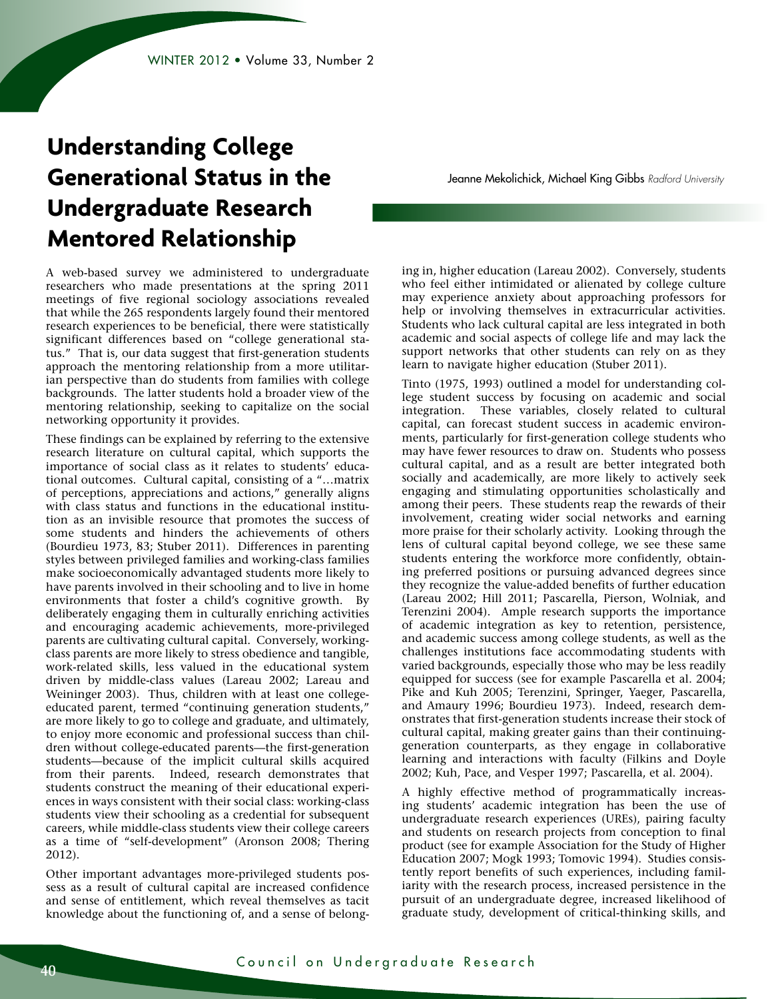# **Understanding College Generational Status in the Undergraduate Research Mentored Relationship**

A web-based survey we administered to undergraduate researchers who made presentations at the spring 2011 meetings of five regional sociology associations revealed that while the 265 respondents largely found their mentored research experiences to be beneficial, there were statistically significant differences based on "college generational status." That is, our data suggest that first-generation students approach the mentoring relationship from a more utilitarian perspective than do students from families with college backgrounds. The latter students hold a broader view of the mentoring relationship, seeking to capitalize on the social networking opportunity it provides.

These findings can be explained by referring to the extensive research literature on cultural capital, which supports the importance of social class as it relates to students' educational outcomes. Cultural capital, consisting of a "…matrix of perceptions, appreciations and actions," generally aligns with class status and functions in the educational institution as an invisible resource that promotes the success of some students and hinders the achievements of others (Bourdieu 1973, 83; Stuber 2011). Differences in parenting styles between privileged families and working-class families make socioeconomically advantaged students more likely to have parents involved in their schooling and to live in home environments that foster a child's cognitive growth. By deliberately engaging them in culturally enriching activities and encouraging academic achievements, more-privileged parents are cultivating cultural capital. Conversely, workingclass parents are more likely to stress obedience and tangible, work-related skills, less valued in the educational system driven by middle-class values (Lareau 2002; Lareau and Weininger 2003). Thus, children with at least one collegeeducated parent, termed "continuing generation students," are more likely to go to college and graduate, and ultimately, to enjoy more economic and professional success than children without college-educated parents—the first-generation students—because of the implicit cultural skills acquired from their parents. Indeed, research demonstrates that students construct the meaning of their educational experiences in ways consistent with their social class: working-class students view their schooling as a credential for subsequent careers, while middle-class students view their college careers as a time of "self-development" (Aronson 2008; Thering 2012).

Other important advantages more-privileged students possess as a result of cultural capital are increased confidence and sense of entitlement, which reveal themselves as tacit knowledge about the functioning of, and a sense of belongJeanne Mekolichick, Michael King Gibbs *Radford University*

ing in, higher education (Lareau 2002). Conversely, students who feel either intimidated or alienated by college culture may experience anxiety about approaching professors for help or involving themselves in extracurricular activities. Students who lack cultural capital are less integrated in both academic and social aspects of college life and may lack the support networks that other students can rely on as they learn to navigate higher education (Stuber 2011).

Tinto (1975, 1993) outlined a model for understanding college student success by focusing on academic and social integration. These variables, closely related to cultural capital, can forecast student success in academic environments, particularly for first-generation college students who may have fewer resources to draw on. Students who possess cultural capital, and as a result are better integrated both socially and academically, are more likely to actively seek engaging and stimulating opportunities scholastically and among their peers. These students reap the rewards of their involvement, creating wider social networks and earning more praise for their scholarly activity. Looking through the lens of cultural capital beyond college, we see these same students entering the workforce more confidently, obtaining preferred positions or pursuing advanced degrees since they recognize the value-added benefits of further education (Lareau 2002; Hill 2011; Pascarella, Pierson, Wolniak, and Terenzini 2004). Ample research supports the importance of academic integration as key to retention, persistence, and academic success among college students, as well as the challenges institutions face accommodating students with varied backgrounds, especially those who may be less readily equipped for success (see for example Pascarella et al. 2004; Pike and Kuh 2005; Terenzini, Springer, Yaeger, Pascarella, and Amaury 1996; Bourdieu 1973). Indeed, research demonstrates that first-generation students increase their stock of cultural capital, making greater gains than their continuinggeneration counterparts, as they engage in collaborative learning and interactions with faculty (Filkins and Doyle 2002; Kuh, Pace, and Vesper 1997; Pascarella, et al. 2004).

A highly effective method of programmatically increasing students' academic integration has been the use of undergraduate research experiences (UREs), pairing faculty and students on research projects from conception to final product (see for example Association for the Study of Higher Education 2007; Mogk 1993; Tomovic 1994). Studies consistently report benefits of such experiences, including familiarity with the research process, increased persistence in the pursuit of an undergraduate degree, increased likelihood of graduate study, development of critical-thinking skills, and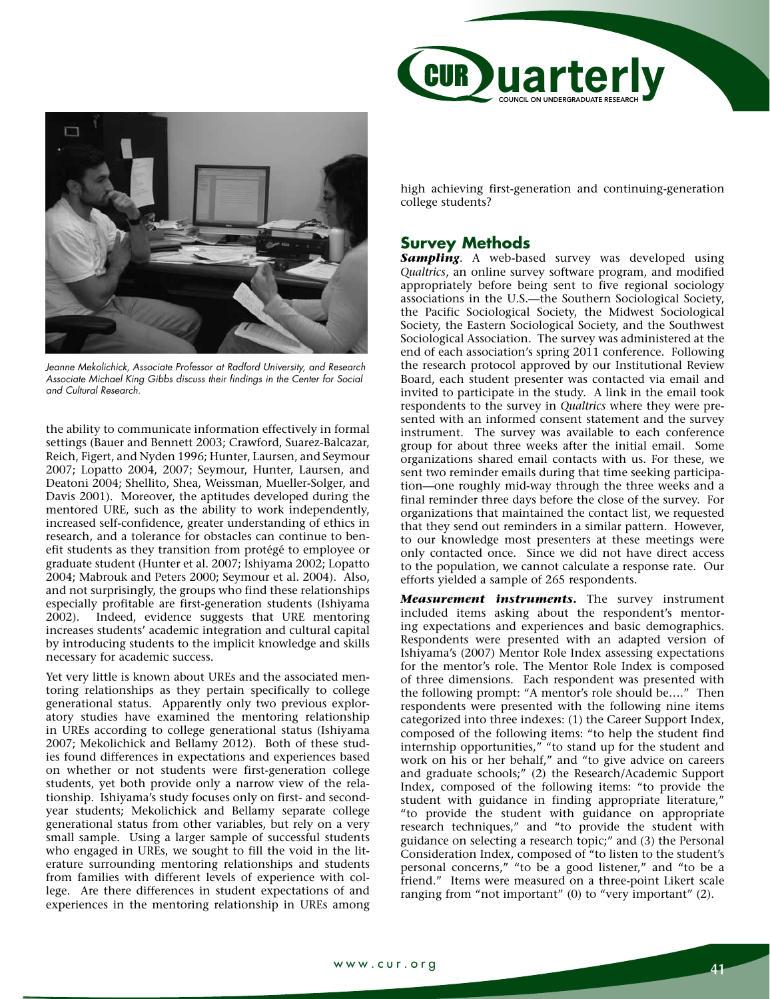



*Jeanne Mekolichick, Associate Professor at Radford University, and Research Associate Michael King Gibbs discuss their findings in the Center for Social and Cultural Research.*

the ability to communicate information effectively in formal settings (Bauer and Bennett 2003; Crawford, Suarez-Balcazar, Reich, Figert, and Nyden 1996; Hunter, Laursen, and Seymour 2007; Lopatto 2004, 2007; Seymour, Hunter, Laursen, and Deatoni 2004; Shellito, Shea, Weissman, Mueller-Solger, and Davis 2001). Moreover, the aptitudes developed during the mentored URE, such as the ability to work independently, increased self-confidence, greater understanding of ethics in research, and a tolerance for obstacles can continue to benefit students as they transition from protégé to employee or graduate student (Hunter et al. 2007; Ishiyama 2002; Lopatto 2004; Mabrouk and Peters 2000; Seymour et al. 2004). Also, and not surprisingly, the groups who find these relationships especially profitable are first-generation students (Ishiyama 2002). Indeed, evidence suggests that URE mentoring increases students' academic integration and cultural capital by introducing students to the implicit knowledge and skills necessary for academic success.

Yet very little is known about UREs and the associated mentoring relationships as they pertain specifically to college generational status. Apparently only two previous exploratory studies have examined the mentoring relationship in UREs according to college generational status (Ishiyama 2007; Mekolichick and Bellamy 2012). Both of these studies found differences in expectations and experiences based on whether or not students were first-generation college students, yet both provide only a narrow view of the relationship. Ishiyama's study focuses only on first- and secondyear students; Mekolichick and Bellamy separate college generational status from other variables, but rely on a very small sample. Using a larger sample of successful students who engaged in UREs, we sought to fill the void in the literature surrounding mentoring relationships and students from families with different levels of experience with college. Are there differences in student expectations of and experiences in the mentoring relationship in UREs among high achieving first-generation and continuing-generation college students?

## **Survey Methods**

Sampling. A web-based survey was developed using *Qualtrics*, an online survey software program, and modified appropriately before being sent to five regional sociology associations in the U.S.—the Southern Sociological Society, the Pacific Sociological Society, the Midwest Sociological Society, the Eastern Sociological Society, and the Southwest Sociological Association. The survey was administered at the end of each association's spring 2011 conference. Following the research protocol approved by our Institutional Review Board, each student presenter was contacted via email and invited to participate in the study. A link in the email took respondents to the survey in *Qualtrics* where they were presented with an informed consent statement and the survey instrument. The survey was available to each conference group for about three weeks after the initial email. Some organizations shared email contacts with us. For these, we sent two reminder emails during that time seeking participation—one roughly mid-way through the three weeks and a final reminder three days before the close of the survey. For organizations that maintained the contact list, we requested that they send out reminders in a similar pattern. However, to our knowledge most presenters at these meetings were only contacted once. Since we did not have direct access to the population, we cannot calculate a response rate. Our efforts yielded a sample of 265 respondents.

*Measurement instruments.* The survey instrument included items asking about the respondent's mentoring expectations and experiences and basic demographics. Respondents were presented with an adapted version of Ishiyama's (2007) Mentor Role Index assessing expectations for the mentor's role. The Mentor Role Index is composed of three dimensions. Each respondent was presented with the following prompt: "A mentor's role should be…." Then respondents were presented with the following nine items categorized into three indexes: (1) the Career Support Index, composed of the following items: "to help the student find internship opportunities," "to stand up for the student and work on his or her behalf," and "to give advice on careers and graduate schools;" (2) the Research/Academic Support Index, composed of the following items: "to provide the student with guidance in finding appropriate literature," "to provide the student with guidance on appropriate research techniques," and "to provide the student with guidance on selecting a research topic;" and (3) the Personal Consideration Index, composed of "to listen to the student's personal concerns," "to be a good listener," and "to be a friend." Items were measured on a three-point Likert scale ranging from "not important" (0) to "very important" (2).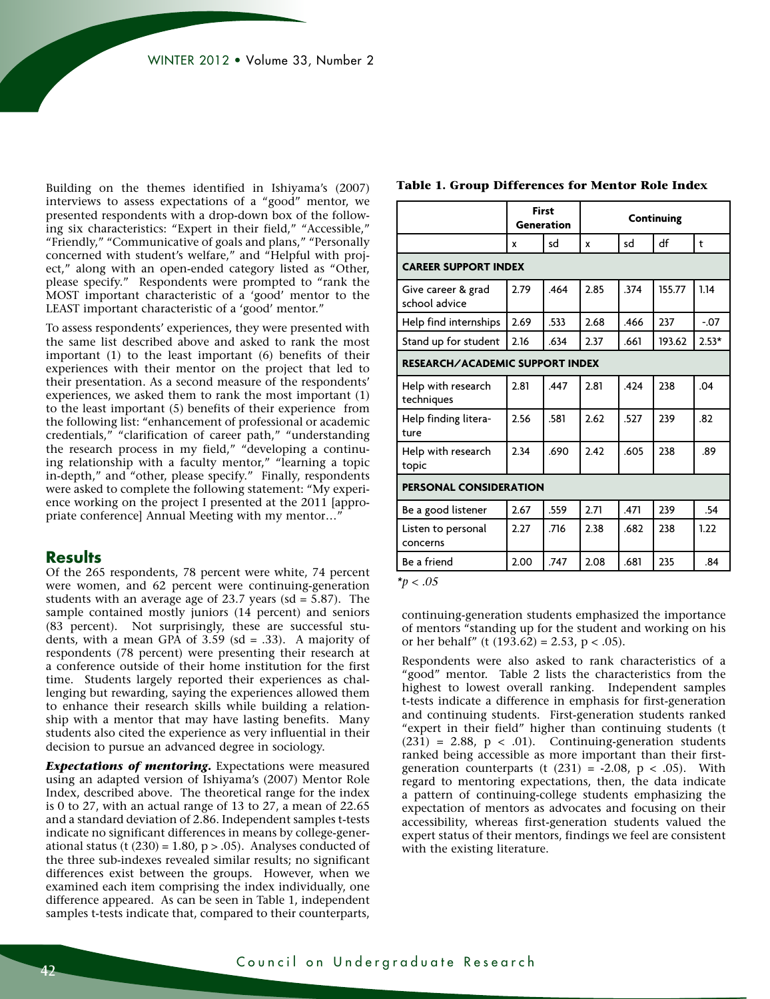Building on the themes identified in Ishiyama's (2007) interviews to assess expectations of a "good" mentor, we presented respondents with a drop-down box of the following six characteristics: "Expert in their field," "Accessible," "Friendly," "Communicative of goals and plans," "Personally concerned with student's welfare," and "Helpful with project," along with an open-ended category listed as "Other, please specify." Respondents were prompted to "rank the MOST important characteristic of a 'good' mentor to the LEAST important characteristic of a 'good' mentor."

To assess respondents' experiences, they were presented with the same list described above and asked to rank the most important (1) to the least important (6) benefits of their experiences with their mentor on the project that led to their presentation. As a second measure of the respondents' experiences, we asked them to rank the most important (1) to the least important (5) benefits of their experience from the following list: "enhancement of professional or academic credentials," "clarification of career path," "understanding the research process in my field," "developing a continuing relationship with a faculty mentor," "learning a topic in-depth," and "other, please specify." Finally, respondents were asked to complete the following statement: "My experience working on the project I presented at the 2011 [appropriate conference] Annual Meeting with my mentor…"

#### **Results**

Of the 265 respondents, 78 percent were white, 74 percent were women, and 62 percent were continuing-generation students with an average age of 23.7 years (sd =  $5.87$ ). The sample contained mostly juniors (14 percent) and seniors (83 percent). Not surprisingly, these are successful students, with a mean GPA of  $3.59$  (sd = .33). A majority of respondents (78 percent) were presenting their research at a conference outside of their home institution for the first time. Students largely reported their experiences as challenging but rewarding, saying the experiences allowed them to enhance their research skills while building a relationship with a mentor that may have lasting benefits. Many students also cited the experience as very influential in their decision to pursue an advanced degree in sociology.

*Expectations of mentoring.* Expectations were measured using an adapted version of Ishiyama's (2007) Mentor Role Index, described above. The theoretical range for the index is 0 to 27, with an actual range of 13 to 27, a mean of 22.65 and a standard deviation of 2.86. Independent samples t-tests indicate no significant differences in means by college-generational status (t  $(230) = 1.80$ , p > .05). Analyses conducted of the three sub-indexes revealed similar results; no significant differences exist between the groups. However, when we examined each item comprising the index individually, one difference appeared. As can be seen in Table 1, independent samples t-tests indicate that, compared to their counterparts,

|                                        | <b>First</b><br>Generation |      | Continuing |      |        |         |  |  |
|----------------------------------------|----------------------------|------|------------|------|--------|---------|--|--|
|                                        | x                          | sd   | sd<br>x    |      | df     | t       |  |  |
| <b>CAREER SUPPORT INDEX</b>            |                            |      |            |      |        |         |  |  |
| Give career & grad<br>school advice    | 2.79                       | .464 | 2.85       | .374 | 155.77 | 1.14    |  |  |
| Help find internships                  | 2.69                       | .533 | 2.68       | .466 | 237    | $-0.07$ |  |  |
| Stand up for student                   | 2.16                       | .634 | 2.37       | .661 | 193.62 | $2.53*$ |  |  |
| <b>RESEARCH/ACADEMIC SUPPORT INDEX</b> |                            |      |            |      |        |         |  |  |
| Help with research<br>techniques       | 2.81                       | .447 | 2.81       | .424 | 238    | .04     |  |  |
| Help finding litera-<br>ture           | 2.56                       | .581 | 2.62       | .527 | 239    | .82     |  |  |
| Help with research<br>topic            | 2.34                       | .690 | 7.47       | .605 | 238    | .89     |  |  |
| <b>PERSONAL CONSIDERATION</b>          |                            |      |            |      |        |         |  |  |
| Be a good listener                     | 2.67                       | .559 | 2.71       | .471 | 239    | .54     |  |  |
| Listen to personal<br>concerns         | 2.27                       | .716 | 2.38       | .682 | 238    | 1.22    |  |  |
| Be a friend                            | 2.00                       | .747 | 2.08       | .681 | 235    | .84     |  |  |
| $*_{p} < .05$                          |                            |      |            |      |        |         |  |  |

#### **Table 1. Group Differences for Mentor Role Index**

continuing-generation students emphasized the importance of mentors "standing up for the student and working on his

or her behalf" (t  $(193.62) = 2.53$ , p < .05).

Respondents were also asked to rank characteristics of a "good" mentor. Table 2 lists the characteristics from the highest to lowest overall ranking. Independent samples t-tests indicate a difference in emphasis for first-generation and continuing students. First-generation students ranked "expert in their field" higher than continuing students (t  $(231) = 2.88$ ,  $p < .01$ ). Continuing-generation students ranked being accessible as more important than their firstgeneration counterparts (t  $(231) = -2.08$ ,  $p < .05$ ). With regard to mentoring expectations, then, the data indicate a pattern of continuing-college students emphasizing the expectation of mentors as advocates and focusing on their accessibility, whereas first-generation students valued the expert status of their mentors, findings we feel are consistent with the existing literature.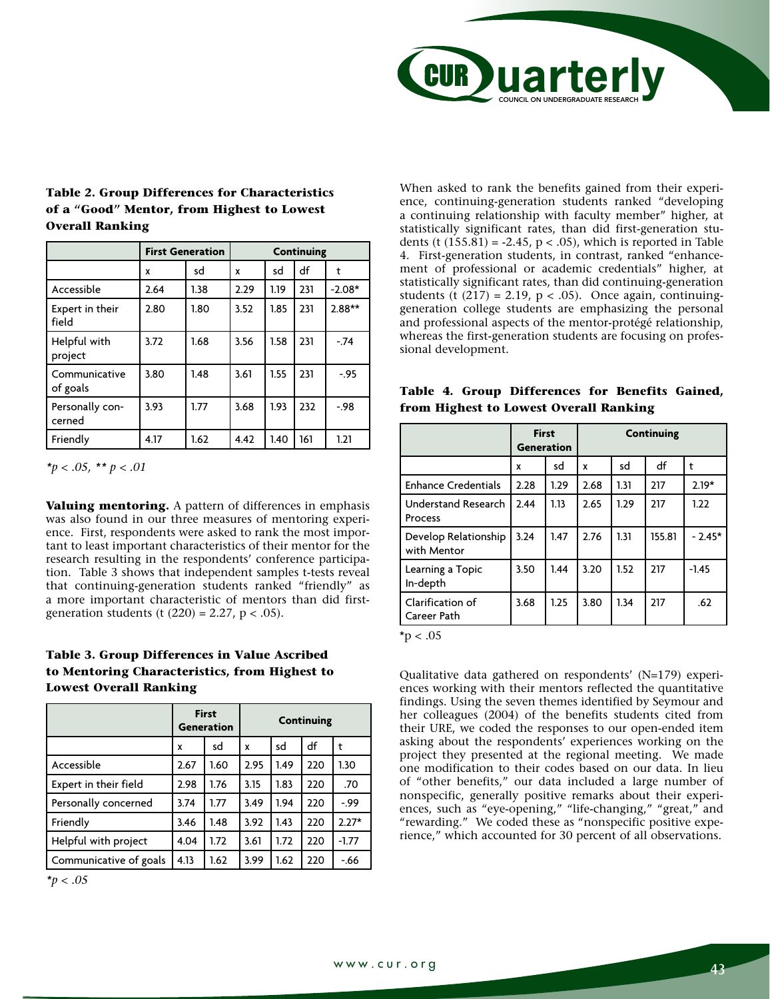

| sd<br>1.38 | x                            | sd   | df  | t        |
|------------|------------------------------|------|-----|----------|
|            |                              |      |     |          |
|            | 2.29                         | 1.19 | 231 | $-2.08*$ |
| 1.80       | 3.52                         | 1.85 | 231 | $2.88**$ |
|            | 3.56                         | 1.58 | 231 | $-74$    |
|            | 3.61                         | 1.55 | 231 | $-.95$   |
|            | 3.68                         | 1.93 | 232 | $-98$    |
|            | 4.42                         | 1.40 | 161 | 1.21     |
|            | 1.68<br>1.48<br>1.77<br>1.62 |      |     |          |

### **Table 2. Group Differences for Characteristics of a "Good" Mentor, from Highest to Lowest Overall Ranking**

*\*p < .05, \*\* p < .01*

**Valuing mentoring.** A pattern of differences in emphasis was also found in our three measures of mentoring experience. First, respondents were asked to rank the most important to least important characteristics of their mentor for the research resulting in the respondents' conference participation. Table 3 shows that independent samples t-tests reveal that continuing-generation students ranked "friendly" as a more important characteristic of mentors than did firstgeneration students (t  $(220) = 2.27$ ,  $p < .05$ ).

## **Table 3. Group Differences in Value Ascribed to Mentoring Characteristics, from Highest to Lowest Overall Ranking**

|                        |      | <b>First</b><br><b>Generation</b> | <b>Continuing</b> |      |     |         |
|------------------------|------|-----------------------------------|-------------------|------|-----|---------|
|                        | x    | sd                                | X                 | sd   | df  | t       |
| Accessible             | 2.67 | 1.60                              | 2.95              | 1.49 | 220 | 1.30    |
| Expert in their field  | 2.98 | 1.76                              | 3.15              | 1.83 | 220 | .70     |
| Personally concerned   | 3.74 | 1.77                              | 3.49              | 1.94 | 220 | $-.99$  |
| Friendly               | 3.46 | 1.48                              | 3.92              | 1.43 | 220 | $2.27*$ |
| Helpful with project   | 4.04 | 1.72                              | 3.61              | 1.72 | 220 | $-1.77$ |
| Communicative of goals | 4.13 | 1.62                              | 3.99              | 1.62 | 220 | $-66$   |

*\*p < .05*

When asked to rank the benefits gained from their experience, continuing-generation students ranked "developing a continuing relationship with faculty member" higher, at statistically significant rates, than did first-generation students (t  $(155.81) = -2.45$ ,  $p < .05$ ), which is reported in Table 4. First-generation students, in contrast, ranked "enhancement of professional or academic credentials" higher, at statistically significant rates, than did continuing-generation students (t  $(217) = 2.19$ ,  $p < .05$ ). Once again, continuinggeneration college students are emphasizing the personal and professional aspects of the mentor-protégé relationship, whereas the first-generation students are focusing on professional development.

|  | Table 4. Group Differences for Benefits Gained, |  |  |
|--|-------------------------------------------------|--|--|
|  | from Highest to Lowest Overall Ranking          |  |  |

|                                       | <b>First</b><br><b>Generation</b> |      | <b>Continuing</b> |      |        |          |
|---------------------------------------|-----------------------------------|------|-------------------|------|--------|----------|
|                                       | x                                 | sd   | x                 | sd   | df     | t        |
| <b>Enhance Credentials</b>            | 2.28                              | 1.29 | 2.68              | 1.31 | 217    | $2.19*$  |
| <b>Understand Research</b><br>Process | 2.44                              | 1.13 | 2.65              | 1.29 | 217    | 1.22     |
| Develop Relationship<br>with Mentor   | 3.24                              | 1.47 | 2.76              | 1.31 | 155.81 | $-2.45*$ |
| Learning a Topic<br>In-depth          | 3.50                              | 1.44 | 3.20              | 1.52 | 217    | $-1.45$  |
| Clarification of<br>Career Path       | 3.68                              | 1.25 | 3.80              | 1.34 | 217    | .62      |

 $*p < .05$ 

Qualitative data gathered on respondents' (N=179) experiences working with their mentors reflected the quantitative findings. Using the seven themes identified by Seymour and her colleagues (2004) of the benefits students cited from their URE, we coded the responses to our open-ended item asking about the respondents' experiences working on the project they presented at the regional meeting. We made one modification to their codes based on our data. In lieu of "other benefits," our data included a large number of nonspecific, generally positive remarks about their experiences, such as "eye-opening," "life-changing," "great," and "rewarding." We coded these as "nonspecific positive experience," which accounted for 30 percent of all observations.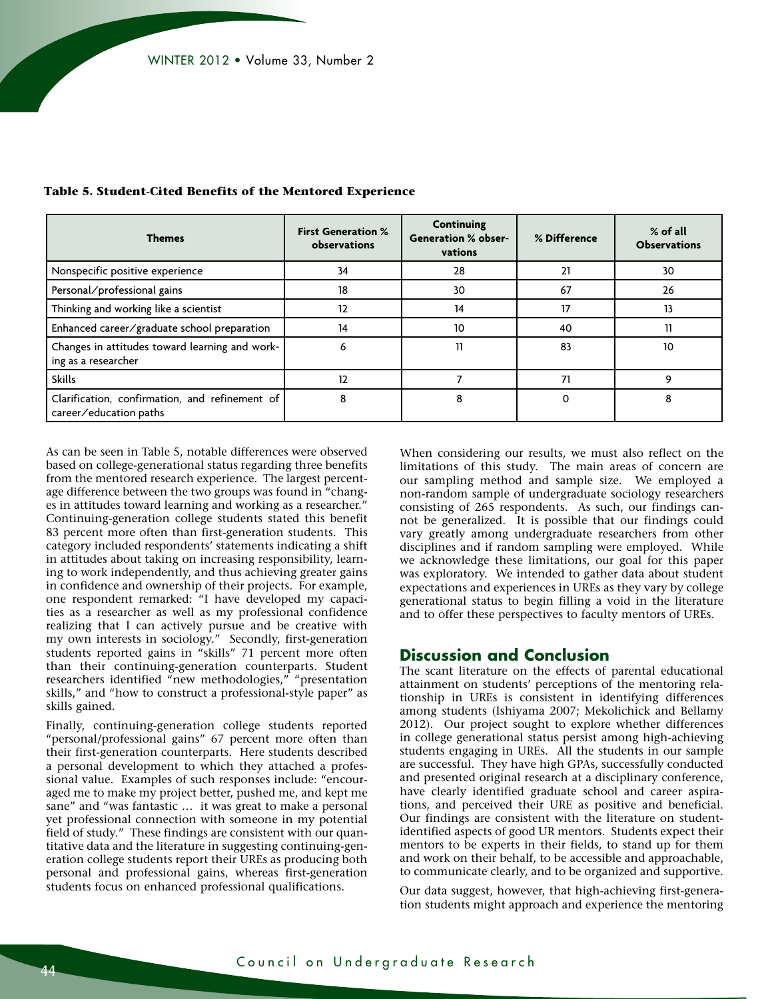| <b>Themes</b>                                                            | <b>First Generation %</b><br>observations | <b>Continuing</b><br><b>Generation % obser-</b><br>vations | % Difference | % of all<br><b>Observations</b> |
|--------------------------------------------------------------------------|-------------------------------------------|------------------------------------------------------------|--------------|---------------------------------|
| Nonspecific positive experience                                          | 34                                        | 28                                                         | 21           | 30                              |
| Personal/professional gains                                              | 18                                        | 30                                                         | 67           | 26                              |
| Thinking and working like a scientist                                    | 12                                        | 14                                                         | 17           | 13                              |
| Enhanced career/graduate school preparation                              | 14                                        | 10                                                         | 40           |                                 |
| Changes in attitudes toward learning and work-<br>ing as a researcher    | 6                                         | 11                                                         | 83           | 10                              |
| <b>Skills</b>                                                            | 12                                        |                                                            | 71           |                                 |
| Clarification, confirmation, and refinement of<br>career/education paths | 8                                         | 8                                                          | 0            | 8                               |

**Table 5. Student-Cited Benefits of the Mentored Experience**

As can be seen in Table 5, notable differences were observed based on college-generational status regarding three benefits from the mentored research experience. The largest percentage difference between the two groups was found in "changes in attitudes toward learning and working as a researcher.' Continuing-generation college students stated this benefit 83 percent more often than first-generation students. This category included respondents' statements indicating a shift in attitudes about taking on increasing responsibility, learning to work independently, and thus achieving greater gains in confidence and ownership of their projects. For example, one respondent remarked: "I have developed my capacities as a researcher as well as my professional confidence realizing that I can actively pursue and be creative with my own interests in sociology." Secondly, first-generation students reported gains in "skills" 71 percent more often than their continuing-generation counterparts. Student researchers identified "new methodologies," "presentation skills," and "how to construct a professional-style paper" as skills gained.

Finally, continuing-generation college students reported "personal/professional gains" 67 percent more often than their first-generation counterparts. Here students described a personal development to which they attached a professional value. Examples of such responses include: "encouraged me to make my project better, pushed me, and kept me sane" and "was fantastic … it was great to make a personal yet professional connection with someone in my potential field of study." These findings are consistent with our quantitative data and the literature in suggesting continuing-generation college students report their UREs as producing both personal and professional gains, whereas first-generation students focus on enhanced professional qualifications.

When considering our results, we must also reflect on the limitations of this study. The main areas of concern are our sampling method and sample size. We employed a non-random sample of undergraduate sociology researchers consisting of 265 respondents. As such, our findings cannot be generalized. It is possible that our findings could vary greatly among undergraduate researchers from other disciplines and if random sampling were employed. While we acknowledge these limitations, our goal for this paper was exploratory. We intended to gather data about student expectations and experiences in UREs as they vary by college generational status to begin filling a void in the literature and to offer these perspectives to faculty mentors of UREs.

## **Discussion and Conclusion**

The scant literature on the effects of parental educational attainment on students' perceptions of the mentoring relationship in UREs is consistent in identifying differences among students (Ishiyama 2007; Mekolichick and Bellamy 2012). Our project sought to explore whether differences in college generational status persist among high-achieving students engaging in UREs. All the students in our sample are successful. They have high GPAs, successfully conducted and presented original research at a disciplinary conference, have clearly identified graduate school and career aspirations, and perceived their URE as positive and beneficial. Our findings are consistent with the literature on studentidentified aspects of good UR mentors. Students expect their mentors to be experts in their fields, to stand up for them and work on their behalf, to be accessible and approachable, to communicate clearly, and to be organized and supportive.

Our data suggest, however, that high-achieving first-generation students might approach and experience the mentoring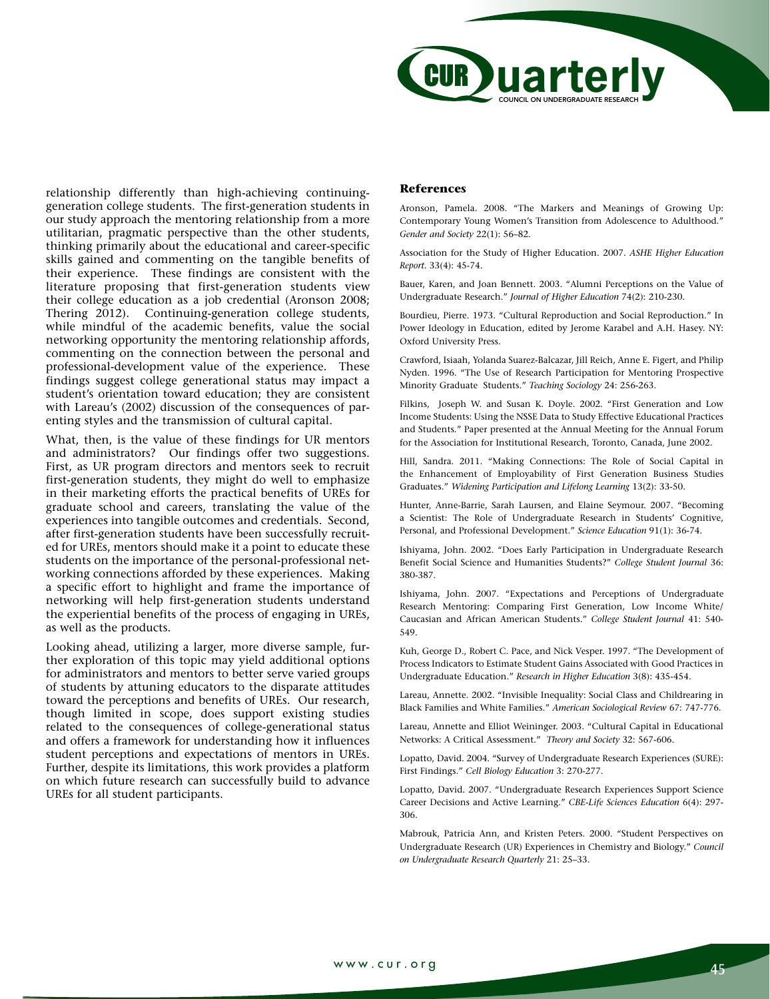

relationship differently than high-achieving continuinggeneration college students. The first-generation students in our study approach the mentoring relationship from a more utilitarian, pragmatic perspective than the other students, thinking primarily about the educational and career-specific skills gained and commenting on the tangible benefits of their experience. These findings are consistent with the literature proposing that first-generation students view their college education as a job credential (Aronson 2008; Thering 2012). Continuing-generation college students, while mindful of the academic benefits, value the social networking opportunity the mentoring relationship affords, commenting on the connection between the personal and professional-development value of the experience. These findings suggest college generational status may impact a student's orientation toward education; they are consistent with Lareau's (2002) discussion of the consequences of parenting styles and the transmission of cultural capital.

What, then, is the value of these findings for UR mentors and administrators? Our findings offer two suggestions. First, as UR program directors and mentors seek to recruit first-generation students, they might do well to emphasize in their marketing efforts the practical benefits of UREs for graduate school and careers, translating the value of the experiences into tangible outcomes and credentials. Second, after first-generation students have been successfully recruited for UREs, mentors should make it a point to educate these students on the importance of the personal-professional networking connections afforded by these experiences. Making a specific effort to highlight and frame the importance of networking will help first-generation students understand the experiential benefits of the process of engaging in UREs, as well as the products.

Looking ahead, utilizing a larger, more diverse sample, further exploration of this topic may yield additional options for administrators and mentors to better serve varied groups of students by attuning educators to the disparate attitudes toward the perceptions and benefits of UREs. Our research, though limited in scope, does support existing studies related to the consequences of college-generational status and offers a framework for understanding how it influences student perceptions and expectations of mentors in UREs. Further, despite its limitations, this work provides a platform on which future research can successfully build to advance UREs for all student participants.

#### **References**

Aronson, Pamela. 2008. "The Markers and Meanings of Growing Up: Contemporary Young Women's Transition from Adolescence to Adulthood." *Gender and Society* 22(1): 56–82.

Association for the Study of Higher Education. 2007. *ASHE Higher Education Report*. 33(4): 45-74.

Bauer, Karen, and Joan Bennett. 2003. "Alumni Perceptions on the Value of Undergraduate Research." *Journal of Higher Education* 74(2): 210-230.

Bourdieu, Pierre. 1973. "Cultural Reproduction and Social Reproduction." In Power Ideology in Education, edited by Jerome Karabel and A.H. Hasey. NY: Oxford University Press.

Crawford, Isiaah, Yolanda Suarez-Balcazar, Jill Reich, Anne E. Figert, and Philip Nyden. 1996. "The Use of Research Participation for Mentoring Prospective Minority Graduate Students." *Teaching Sociology* 24: 256-263.

Filkins, Joseph W. and Susan K. Doyle. 2002. "First Generation and Low Income Students: Using the NSSE Data to Study Effective Educational Practices and Students." Paper presented at the Annual Meeting for the Annual Forum for the Association for Institutional Research, Toronto, Canada, June 2002.

Hill, Sandra. 2011. "Making Connections: The Role of Social Capital in the Enhancement of Employability of First Generation Business Studies Graduates." *Widening Participation and Lifelong Learning* 13(2): 33-50.

Hunter, Anne-Barrie, Sarah Laursen, and Elaine Seymour. 2007. "Becoming a Scientist: The Role of Undergraduate Research in Students' Cognitive, Personal, and Professional Development." *Science Education* 91(1): 36-74.

Ishiyama, John. 2002. "Does Early Participation in Undergraduate Research Benefit Social Science and Humanities Students?" *College Student Journal* 36: 380-387.

Ishiyama, John. 2007. "Expectations and Perceptions of Undergraduate Research Mentoring: Comparing First Generation, Low Income White/ Caucasian and African American Students." *College Student Journal* 41: 540- 549.

Kuh, George D., Robert C. Pace, and Nick Vesper. 1997. "The Development of Process Indicators to Estimate Student Gains Associated with Good Practices in Undergraduate Education." *Research in Higher Education* 3(8): 435-454.

Lareau, Annette. 2002. "Invisible Inequality: Social Class and Childrearing in Black Families and White Families." *American Sociological Review* 67: 747-776.

Lareau, Annette and Elliot Weininger. 2003. "Cultural Capital in Educational Networks: A Critical Assessment." *Theory and Society* 32: 567-606.

Lopatto, David. 2004. "Survey of Undergraduate Research Experiences (SURE): First Findings." *Cell Biology Education* 3: 270-277.

Lopatto, David. 2007. "Undergraduate Research Experiences Support Science Career Decisions and Active Learning." *CBE-Life Sciences Education* 6(4): 297- 306.

Mabrouk, Patricia Ann, and Kristen Peters. 2000. "Student Perspectives on Undergraduate Research (UR) Experiences in Chemistry and Biology." *Council on Undergraduate Research Quarterly* 21: 25–33.